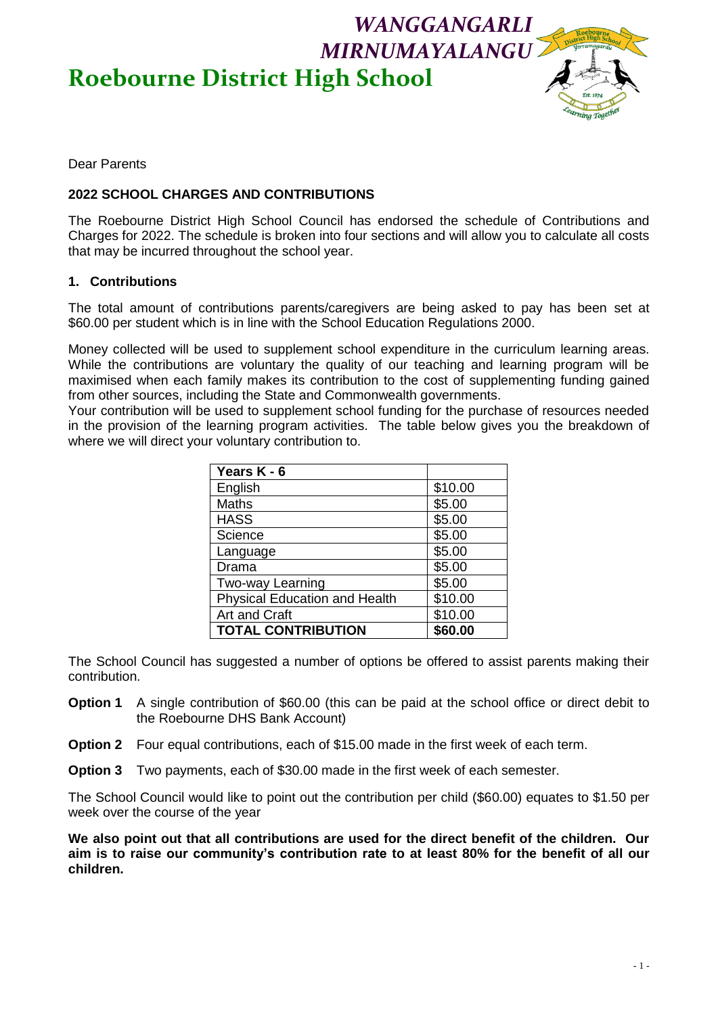# *MIRNUMAYALANGU* **Roebourne District High School**



Dear Parents

## **2022 SCHOOL CHARGES AND CONTRIBUTIONS**

The Roebourne District High School Council has endorsed the schedule of Contributions and Charges for 2022. The schedule is broken into four sections and will allow you to calculate all costs that may be incurred throughout the school year.

#### **1. Contributions**

The total amount of contributions parents/caregivers are being asked to pay has been set at \$60.00 per student which is in line with the School Education Regulations 2000.

Money collected will be used to supplement school expenditure in the curriculum learning areas. While the contributions are voluntary the quality of our teaching and learning program will be maximised when each family makes its contribution to the cost of supplementing funding gained from other sources, including the State and Commonwealth governments.

Your contribution will be used to supplement school funding for the purchase of resources needed in the provision of the learning program activities. The table below gives you the breakdown of where we will direct your voluntary contribution to.

| Years K - 6                          |         |  |  |  |
|--------------------------------------|---------|--|--|--|
| English                              | \$10.00 |  |  |  |
| <b>Maths</b>                         | \$5.00  |  |  |  |
| <b>HASS</b>                          | \$5.00  |  |  |  |
| Science                              | \$5.00  |  |  |  |
| Language                             | \$5.00  |  |  |  |
| Drama                                | \$5.00  |  |  |  |
| Two-way Learning                     | \$5.00  |  |  |  |
| <b>Physical Education and Health</b> | \$10.00 |  |  |  |
| Art and Craft                        | \$10.00 |  |  |  |
| <b>TOTAL CONTRIBUTION</b>            | \$60.00 |  |  |  |

The School Council has suggested a number of options be offered to assist parents making their contribution.

- **Option 1** A single contribution of \$60.00 (this can be paid at the school office or direct debit to the Roebourne DHS Bank Account)
- **Option 2** Four equal contributions, each of \$15.00 made in the first week of each term.
- **Option 3** Two payments, each of \$30.00 made in the first week of each semester.

The School Council would like to point out the contribution per child (\$60.00) equates to \$1.50 per week over the course of the year

**We also point out that all contributions are used for the direct benefit of the children. Our aim is to raise our community's contribution rate to at least 80% for the benefit of all our children.**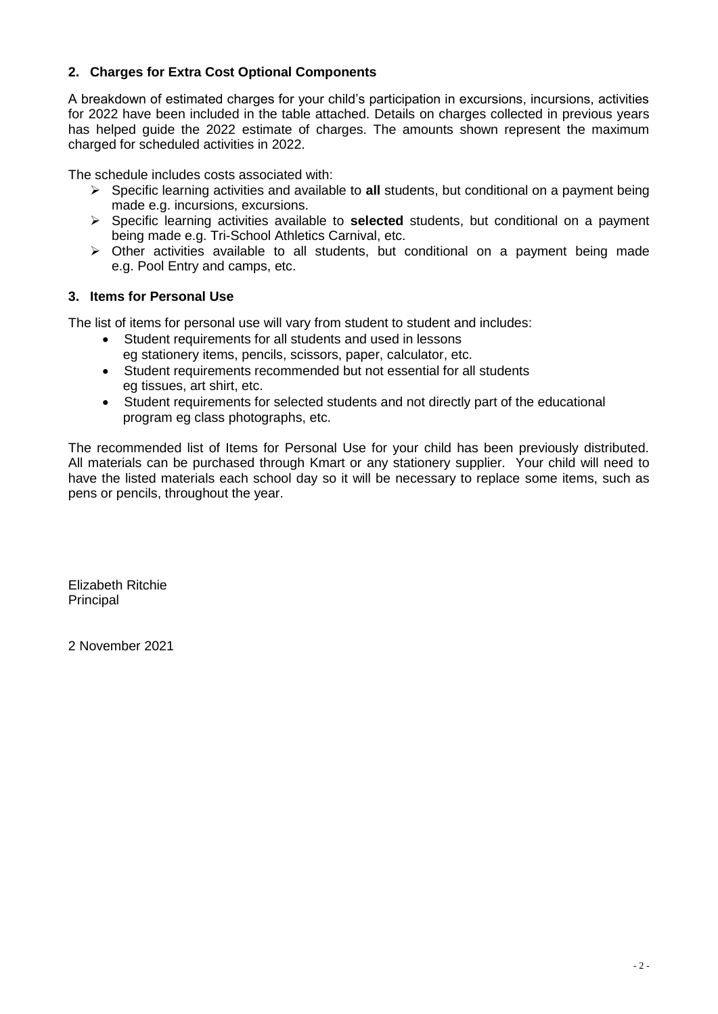## **2. Charges for Extra Cost Optional Components**

A breakdown of estimated charges for your child's participation in excursions, incursions, activities for 2022 have been included in the table attached. Details on charges collected in previous years has helped guide the 2022 estimate of charges. The amounts shown represent the maximum charged for scheduled activities in 2022.

The schedule includes costs associated with:

- Specific learning activities and available to **all** students, but conditional on a payment being made e.g. incursions, excursions.
- Specific learning activities available to **selected** students, but conditional on a payment being made e.g. Tri-School Athletics Carnival, etc.
- $\triangleright$  Other activities available to all students, but conditional on a payment being made e.g. Pool Entry and camps, etc.

#### **3. Items for Personal Use**

The list of items for personal use will vary from student to student and includes:

- Student requirements for all students and used in lessons eg stationery items, pencils, scissors, paper, calculator, etc.
- Student requirements recommended but not essential for all students eg tissues, art shirt, etc.
- Student requirements for selected students and not directly part of the educational program eg class photographs, etc.

The recommended list of Items for Personal Use for your child has been previously distributed. All materials can be purchased through Kmart or any stationery supplier. Your child will need to have the listed materials each school day so it will be necessary to replace some items, such as pens or pencils, throughout the year.

Elizabeth Ritchie **Principal** 

2 November 2021